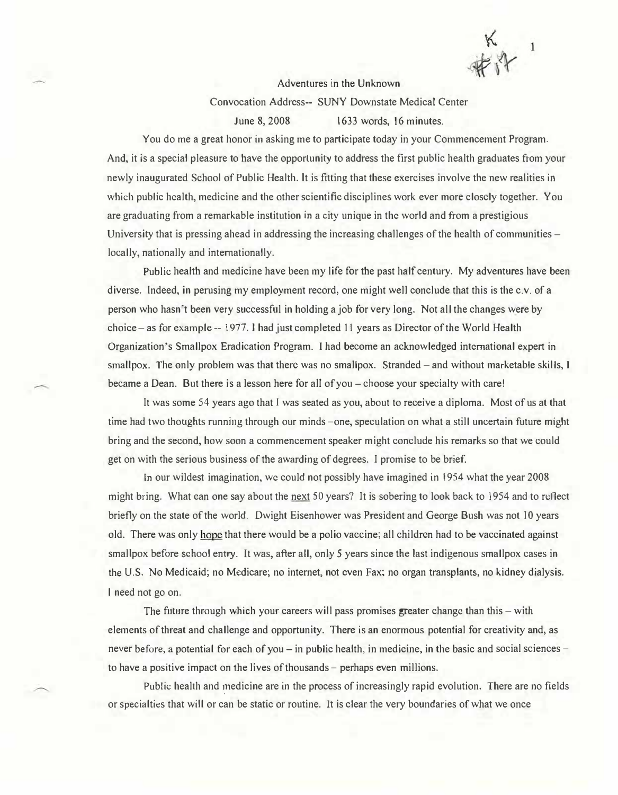Adventures in the Unknown

Convocation Address-- SUNY Downstate Medical Center

June 8, 2008 1633 words, 16 minutes.

You do me a great honor in asking me to participate today in your Commencement Program. And, it is a special pleasure to have the opportunity to address the first public health graduates from your newly inaugurated School of Public Health. 1t is fitting that these exercises involve the new realities in which public health, medicine and the other scientific disciplines work ever more closely together. You are graduating from a remarkable institution in a city unique in the world and from a prestigious University that is pressing ahead in addressing the increasing challenges of the health of communities  $$ locally, nationally and internationally.

Public health and medicine have been my life for the past half century. My adventures have been diverse. Indeed, in perusing my employment record, one might well conclude that this is the c.v. of a person who hasn't been very successful in holding a job for very long. Not all the changes were by choice - as for example -- 1977. 1 had just completed 11 years as Director of the World Health Organization's Smallpox Eradication Program. I had become an acknowledged international expert in smallpox. The only problem was that there was no smallpox. Stranded – and without marketable skills, I became a Dean. But there is a lesson here for all of you – choose your specialty with care!

It was some 54 years ago that I was seated as you, about to receive a diploma. Most of us at that time had two thoughts running through our minds -one, speculation on what a still uncertain future might bring and the second, how soon a commencement speaker might conclude his remarks so that we could get on with the serious business of the awarding of degrees. I promise to be brief.

In our wildest imagination, we could not possibly have imagined in 1954 what the year 2008 might bring. What can one say about the next 50 years? It is sobering to look back to 1954 and to reflect briefly on the state of the world. Dwight Eisenhower was President and George Bush was not 10 years old. There was only hope that there would be a polio vaccine; all children had to be vaccinated against smallpox before school entry. It was, after all, only 5 years since the last indigenous smallpox cases in the U.S. No Medicaid; no Medicare; no internet, not even Fax; no organ transplants, no kidney dialysis. l need not go on.

The future through which your careers will pass promises greater change than this  $-$  with elements of threat and challenge and opportunity. There is an enormous potential for creativity and, as never before, a potential for each of you – in public health, in medicine, in the basic and social sciences – to have a positive impact on the lives of thousands - perhaps even millions.

Public health and medicine are in the process of increasingly rapid evolution. There are no fields or specialties that will or can be static or routine. It is clear the very boundaries of what we once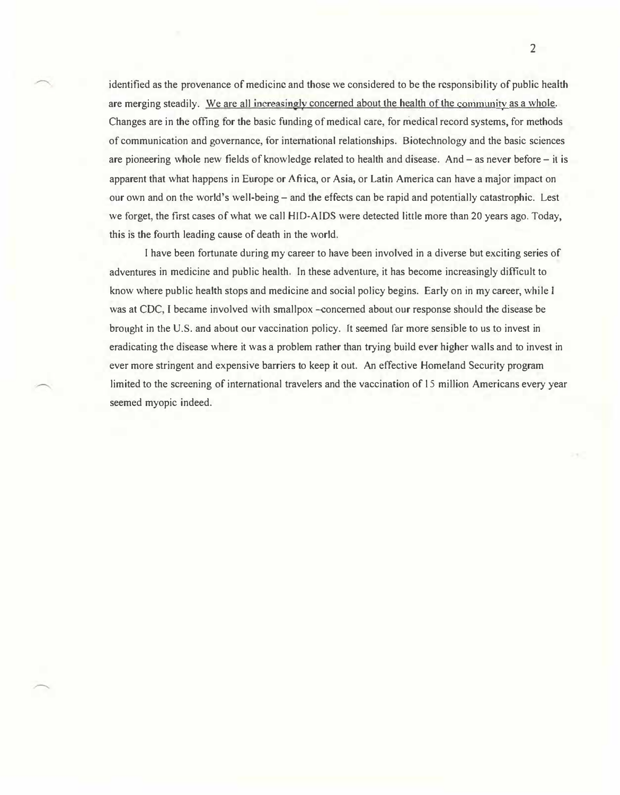identified as the provenance of medicine and those we considered to be the responsibility of public health are merging steadily. We are all increasingly concerned about the health of the community as a whole. Changes are in the offing for the basic funding of medical care, for medical record systems, for methods of communication and governance, for international relationships. Biotechnology and the basic sciences are pioneering whole new fields of knowledge related to health and disease. And  $-$  as never before  $-$  it is apparent that what happens in Europe or Africa, or Asia, or Latin America can have a major impact on our own and on the world's well-being- and the effects can be rapid and potentially catastrophic. Lest we forget, the first cases of what we call HJD-AIDS were detected little more than 20 years ago. Today, this is the fourth leading cause of death in the world.

I have been fortunate during my career to have been involved in a diverse but exciting series of adventures in medicine and public health. In these adventure, it has become increasingly difficult to know where public health stops and medicine and social policy begins. Early on in my career, while I was at CDC, I became involved with smallpox -concerned about our response should the disease be brought in the U.S. and about our vaccination policy. It seemed far more sensible to us to invest in eradicating the disease where it was a problem rather than trying build ever higher walls and to invest in ever more stringent and expensive barriers to keep it out. An effective Homeland Security program limited to the screening of international travelers and the vaccination of 15 million Americans every year seemed myopic indeed.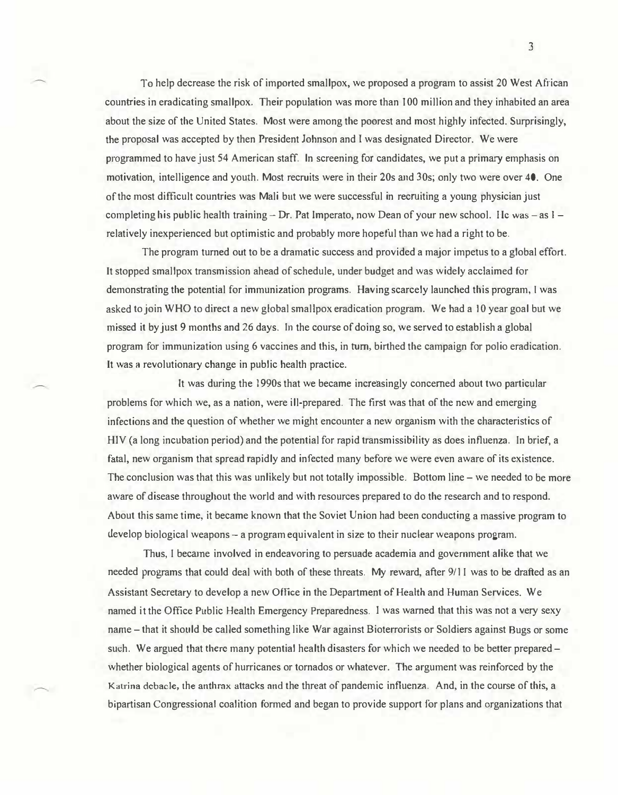To help decrease the risk of imported smallpox, we proposed a program to assist 20 West African countries in eradicating smallpox. Their population was more than 100 million and they inhabited an area about the size of the United States. Most were among the poorest and most highly infected. Surprisingly, the proposal was accepted by then President Johnson and I was designated Director. We were programmed to have just 54 American staff. ln screening for candidates, we put a primary emphasis on motivation, intelligence and youth. Most recruits were in their 20s and 30s; only two were over 40. One of the most difficult countries was Mali but we were successful in recrniting a young physician just completing his public health training  $-$  Dr. Pat Imperato, now Dean of your new school. He was  $-$  as  $1$ relatively inexperienced but optimistic and probably more hopeful than we had a right to be.

The program turned out to be a dramatic success and provided a major impetus to a global effort. It stopped smallpox transmission ahead of schedule, under budget and was widely acclaimed for demonstrating the potential for immunization programs. Having scarcely launched this program, 1 was asked to join WHO to direct a new global smallpox eradication program. We had a I 0 year goal but we missed it by just 9 months and 26 days. 1n the course of doing so, we served to establish a global program for immunization using 6 vaccines and this, in tum, birthed the campaign for polio eradication. It was a revolutionary change in public health practice.

It was during the 1990s that we became increasingly concerned about two particular problems for which we, as a nation, were ill-prepared. The first was that of the new and emerging infections and the question of whether we might encounter a new organism with the characteristics of HIV (a long incubation period) and the potential for rapid transmissibility as does influenza. In brief, a fatal, new organism that spread rapidly and infected many before we were even aware of its existence. The conclusion was that this was unlikely but not totally impossible. Bottom line- we needed to be more aware of disease throughout the world and with resources prepared to do the research and to respond. About this same time, it became known that the Soviet Union had been conducting a massive program to develop biological weapons - a program equivalent in size to their nuclear weapons program.

Thus, I became involved in endeavoring to persuade academia and government alike that we needed programs that could deal with both of these threats. My reward, after 9/1 I was to be drafted as an Assistant Secretary to develop a new Office in the Department of Health and Human Services. We named it the Office Public Health Emergency Preparedness. I was warned that this was not a very sexy name- that it should be called something like War against Bioterrorists or Soldiers against Bugs or some such. We argued that there many potential health disasters for which we needed to be better prepared – whether biological agents of hurricanes or tornados or whatever. The argument was reinforced by the Katrina debacle, the anthrax attacks and the threat of pandemic influenza. And, in the course of this, a bipartisan Congressional coalition formed and began to provide support for plans and organizations that